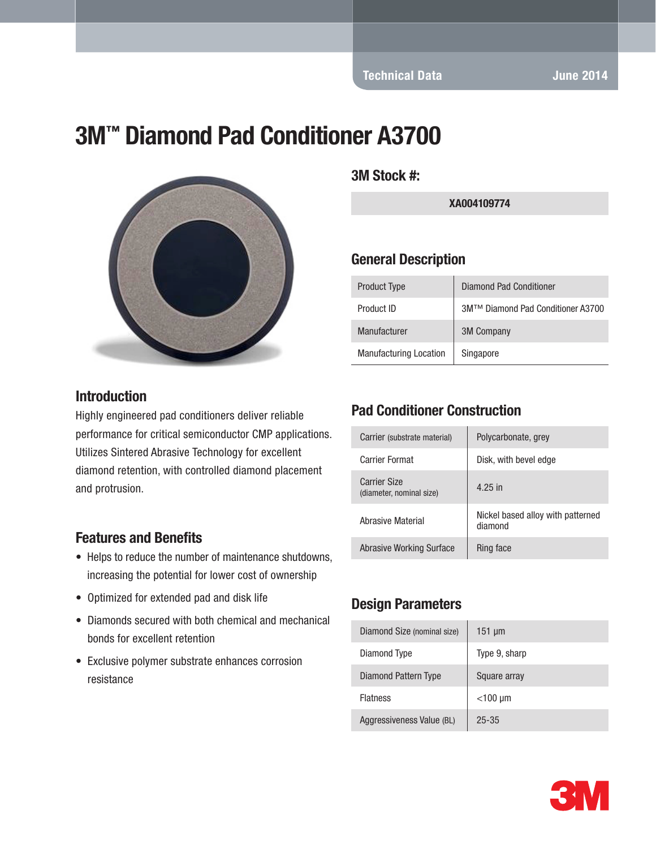# 3M™ Diamond Pad Conditioner A3700



#### Introduction

Highly engineered pad conditioners deliver reliable performance for critical semiconductor CMP applications. Utilizes Sintered Abrasive Technology for excellent diamond retention, with controlled diamond placement and protrusion.

#### Features and Benefits

- Helps to reduce the number of maintenance shutdowns, increasing the potential for lower cost of ownership
- Optimized for extended pad and disk life
- Diamonds secured with both chemical and mechanical bonds for excellent retention
- Exclusive polymer substrate enhances corrosion resistance

3M Stock #:

XA004109774

#### General Description

| <b>Product Type</b>           | <b>Diamond Pad Conditioner</b>    |
|-------------------------------|-----------------------------------|
| Product ID                    | 3M™ Diamond Pad Conditioner A3700 |
| Manufacturer                  | <b>3M Company</b>                 |
| <b>Manufacturing Location</b> | Singapore                         |

### Pad Conditioner Construction

| Carrier (substrate material)                    | Polycarbonate, grey                          |
|-------------------------------------------------|----------------------------------------------|
| Carrier Format                                  | Disk, with bevel edge                        |
| <b>Carrier Size</b><br>(diameter, nominal size) | 4.25 in                                      |
| Abrasive Material                               | Nickel based alloy with patterned<br>diamond |
| <b>Abrasive Working Surface</b>                 | Ring face                                    |

### Design Parameters

| Diamond Size (nominal size) | $151 \mu m$   |
|-----------------------------|---------------|
| Diamond Type                | Type 9, sharp |
| Diamond Pattern Type        | Square array  |
| <b>Flatness</b>             | $<$ 100 µm    |
| Aggressiveness Value (BL)   | $25 - 35$     |